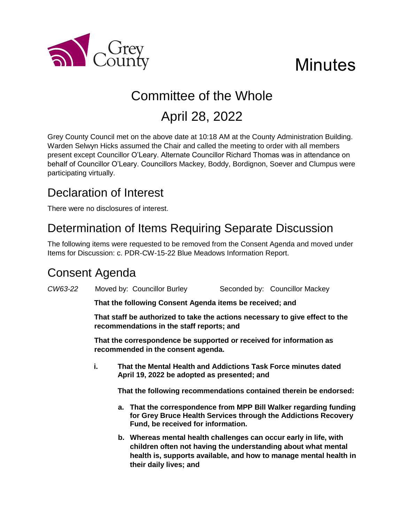

# **Minutes**

# Committee of the Whole April 28, 2022

Grey County Council met on the above date at 10:18 AM at the County Administration Building. Warden Selwyn Hicks assumed the Chair and called the meeting to order with all members present except Councillor O'Leary. Alternate Councillor Richard Thomas was in attendance on behalf of Councillor O'Leary. Councillors Mackey, Boddy, Bordignon, Soever and Clumpus were participating virtually.

# Declaration of Interest

There were no disclosures of interest.

# Determination of Items Requiring Separate Discussion

The following items were requested to be removed from the Consent Agenda and moved under Items for Discussion: c. PDR-CW-15-22 Blue Meadows Information Report.

## Consent Agenda

*CW63-22* Moved by: Councillor Burley Seconded by: Councillor Mackey

**That the following Consent Agenda items be received; and**

**That staff be authorized to take the actions necessary to give effect to the recommendations in the staff reports; and**

**That the correspondence be supported or received for information as recommended in the consent agenda.** 

**i. That the Mental Health and Addictions Task Force minutes dated April 19, 2022 be adopted as presented; and**

**That the following recommendations contained therein be endorsed:**

- **a. That the correspondence from MPP Bill Walker regarding funding for Grey Bruce Health Services through the Addictions Recovery Fund, be received for information.**
- **b. Whereas mental health challenges can occur early in life, with children often not having the understanding about what mental health is, supports available, and how to manage mental health in their daily lives; and**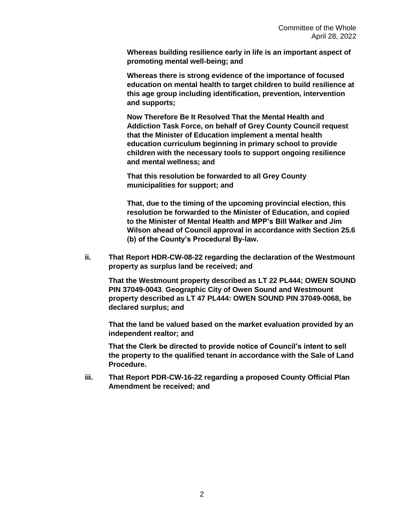**Whereas building resilience early in life is an important aspect of promoting mental well-being; and**

**Whereas there is strong evidence of the importance of focused education on mental health to target children to build resilience at this age group including identification, prevention, intervention and supports;**

**Now Therefore Be It Resolved That the Mental Health and Addiction Task Force, on behalf of Grey County Council request that the Minister of Education implement a mental health education curriculum beginning in primary school to provide children with the necessary tools to support ongoing resilience and mental wellness; and**

**That this resolution be forwarded to all Grey County municipalities for support; and**

**That, due to the timing of the upcoming provincial election, this resolution be forwarded to the Minister of Education, and copied to the Minister of Mental Health and MPP's Bill Walker and Jim Wilson ahead of Council approval in accordance with Section 25.6 (b) of the County's Procedural By-law.**

**ii. That Report HDR-CW-08-22 regarding the declaration of the Westmount property as surplus land be received; and**

**That the Westmount property described as LT 22 PL444; OWEN SOUND PIN 37049-0043**, **Geographic City of Owen Sound and Westmount property described as LT 47 PL444: OWEN SOUND PIN 37049-0068, be declared surplus; and**

**That the land be valued based on the market evaluation provided by an independent realtor; and**

**That the Clerk be directed to provide notice of Council's intent to sell the property to the qualified tenant in accordance with the Sale of Land Procedure.** 

**iii. That Report PDR-CW-16-22 regarding a proposed County Official Plan Amendment be received; and**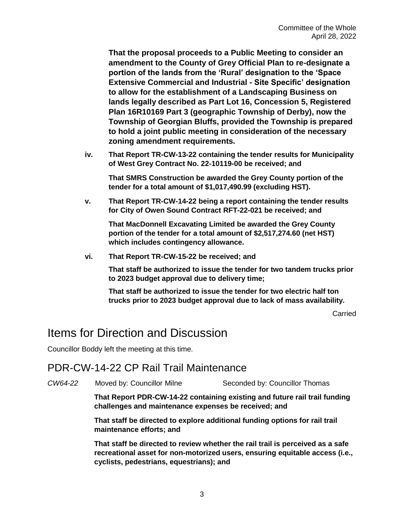**That the proposal proceeds to a Public Meeting to consider an amendment to the County of Grey Official Plan to re-designate a portion of the lands from the 'Rural' designation to the 'Space Extensive Commercial and Industrial - Site Specific' designation to allow for the establishment of a Landscaping Business on lands legally described as Part Lot 16, Concession 5, Registered Plan 16R10169 Part 3 (geographic Township of Derby), now the Township of Georgian Bluffs, provided the Township is prepared to hold a joint public meeting in consideration of the necessary zoning amendment requirements.** 

**iv. That Report TR-CW-13-22 containing the tender results for Municipality of West Grey Contract No. 22-10119-00 be received; and**

**That SMRS Construction be awarded the Grey County portion of the tender for a total amount of \$1,017,490.99 (excluding HST).**

**v. That Report TR-CW-14-22 being a report containing the tender results for City of Owen Sound Contract RFT-22-021 be received; and**

**That MacDonnell Excavating Limited be awarded the Grey County portion of the tender for a total amount of \$2,517,274.60 (net HST) which includes contingency allowance.**

**vi. That Report TR-CW-15-22 be received; and**

**That staff be authorized to issue the tender for two tandem trucks prior to 2023 budget approval due to delivery time;**

**That staff be authorized to issue the tender for two electric half ton trucks prior to 2023 budget approval due to lack of mass availability.**

**Carried** 

#### Items for Direction and Discussion

Councillor Boddy left the meeting at this time.

#### PDR-CW-14-22 CP Rail Trail Maintenance

*CW64-22* Moved by: Councillor Milne Seconded by: Councillor Thomas

**That Report PDR-CW-14-22 containing existing and future rail trail funding challenges and maintenance expenses be received; and**

**That staff be directed to explore additional funding options for rail trail maintenance efforts; and** 

**That staff be directed to review whether the rail trail is perceived as a safe recreational asset for non-motorized users, ensuring equitable access (i.e., cyclists, pedestrians, equestrians); and**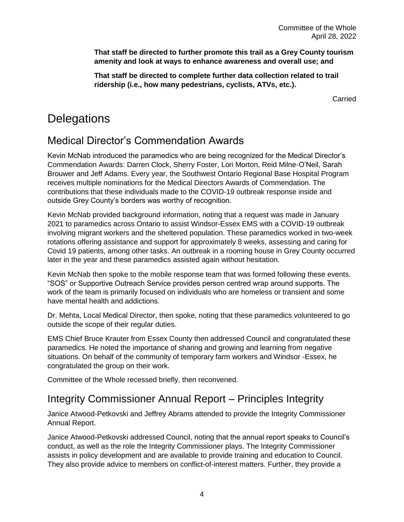**That staff be directed to further promote this trail as a Grey County tourism amenity and look at ways to enhance awareness and overall use; and** 

**That staff be directed to complete further data collection related to trail ridership (i.e., how many pedestrians, cyclists, ATVs, etc.).** 

Carried

## **Delegations**

### Medical Director's Commendation Awards

Kevin McNab introduced the paramedics who are being recognized for the Medical Director's Commendation Awards: Darren Clock, Sherry Foster, Lori Morton, Reid Milne-O'Neil, Sarah Brouwer and Jeff Adams. Every year, the Southwest Ontario Regional Base Hospital Program receives multiple nominations for the Medical Directors Awards of Commendation. The contributions that these individuals made to the COVID-19 outbreak response inside and outside Grey County's borders was worthy of recognition.

Kevin McNab provided background information, noting that a request was made in January 2021 to paramedics across Ontario to assist Windsor-Essex EMS with a COVID-19 outbreak involving migrant workers and the sheltered population. These paramedics worked in two-week rotations offering assistance and support for approximately 8 weeks, assessing and caring for Covid 19 patients, among other tasks. An outbreak in a rooming house in Grey County occurred later in the year and these paramedics assisted again without hesitation.

Kevin McNab then spoke to the mobile response team that was formed following these events. "SOS" or Supportive Outreach Service provides person centred wrap around supports. The work of the team is primarily focused on individuals who are homeless or transient and some have mental health and addictions.

Dr. Mehta, Local Medical Director, then spoke, noting that these paramedics volunteered to go outside the scope of their regular duties.

EMS Chief Bruce Krauter from Essex County then addressed Council and congratulated these paramedics. He noted the importance of sharing and growing and learning from negative situations. On behalf of the community of temporary farm workers and Windsor -Essex, he congratulated the group on their work.

Committee of the Whole recessed briefly, then reconvened.

### Integrity Commissioner Annual Report – Principles Integrity

Janice Atwood-Petkovski and Jeffrey Abrams attended to provide the Integrity Commissioner Annual Report.

Janice Atwood-Petkovski addressed Council, noting that the annual report speaks to Council's conduct, as well as the role the Integrity Commissioner plays. The Integrity Commissioner assists in policy development and are available to provide training and education to Council. They also provide advice to members on conflict-of-interest matters. Further, they provide a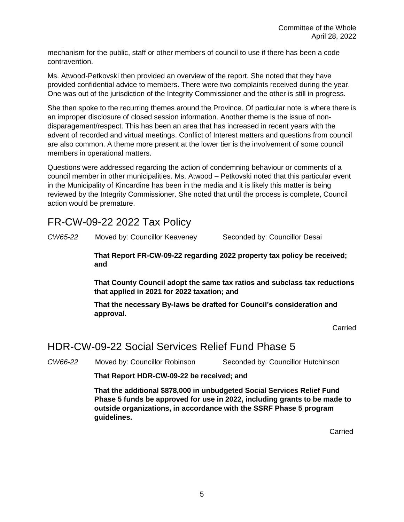mechanism for the public, staff or other members of council to use if there has been a code contravention.

Ms. Atwood-Petkovski then provided an overview of the report. She noted that they have provided confidential advice to members. There were two complaints received during the year. One was out of the jurisdiction of the Integrity Commissioner and the other is still in progress.

She then spoke to the recurring themes around the Province. Of particular note is where there is an improper disclosure of closed session information. Another theme is the issue of nondisparagement/respect. This has been an area that has increased in recent years with the advent of recorded and virtual meetings. Conflict of Interest matters and questions from council are also common. A theme more present at the lower tier is the involvement of some council members in operational matters.

Questions were addressed regarding the action of condemning behaviour or comments of a council member in other municipalities. Ms. Atwood – Petkovski noted that this particular event in the Municipality of Kincardine has been in the media and it is likely this matter is being reviewed by the Integrity Commissioner. She noted that until the process is complete, Council action would be premature.

#### FR-CW-09-22 2022 Tax Policy

*CW65-22* Moved by: Councillor Keaveney Seconded by: Councillor Desai

**That Report FR-CW-09-22 regarding 2022 property tax policy be received; and**

**That County Council adopt the same tax ratios and subclass tax reductions that applied in 2021 for 2022 taxation; and**

**That the necessary By-laws be drafted for Council's consideration and approval.**

Carried

#### HDR-CW-09-22 Social Services Relief Fund Phase 5

*CW66-22* Moved by: Councillor Robinson Seconded by: Councillor Hutchinson

**That Report HDR-CW-09-22 be received; and**

**That the additional \$878,000 in unbudgeted Social Services Relief Fund Phase 5 funds be approved for use in 2022, including grants to be made to outside organizations, in accordance with the SSRF Phase 5 program guidelines.**

**Carried**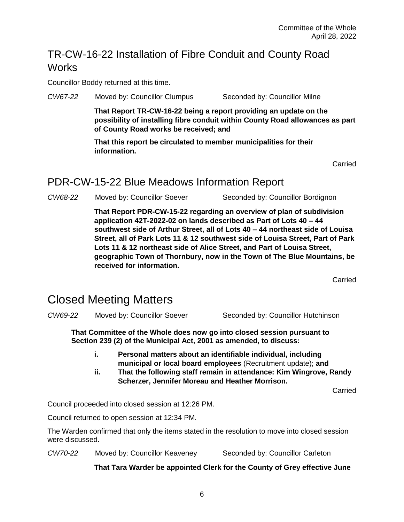### TR-CW-16-22 Installation of Fibre Conduit and County Road **Works**

Councillor Boddy returned at this time.

*CW67-22* Moved by: Councillor Clumpus Seconded by: Councillor Milne

**That Report TR-CW-16-22 being a report providing an update on the possibility of installing fibre conduit within County Road allowances as part of County Road works be received; and**

**That this report be circulated to member municipalities for their information.**

Carried

#### PDR-CW-15-22 Blue Meadows Information Report

*CW68-22* Moved by: Councillor Soever Seconded by: Councillor Bordignon

**That Report PDR-CW-15-22 regarding an overview of plan of subdivision application 42T-2022-02 on lands described as Part of Lots 40 – 44 southwest side of Arthur Street, all of Lots 40 – 44 northeast side of Louisa Street, all of Park Lots 11 & 12 southwest side of Louisa Street, Part of Park Lots 11 & 12 northeast side of Alice Street, and Part of Louisa Street, geographic Town of Thornbury, now in the Town of The Blue Mountains, be received for information.** 

Carried

## Closed Meeting Matters

**CW69-22** Moved by: Councillor Soever Seconded by: Councillor Hutchinson

**That Committee of the Whole does now go into closed session pursuant to Section 239 (2) of the Municipal Act, 2001 as amended, to discuss:**

- **i. Personal matters about an identifiable individual, including municipal or local board employees** (Recruitment update); **and**
- **ii. That the following staff remain in attendance: Kim Wingrove, Randy Scherzer, Jennifer Moreau and Heather Morrison.**

Carried

Council proceeded into closed session at 12:26 PM.

Council returned to open session at 12:34 PM.

The Warden confirmed that only the items stated in the resolution to move into closed session were discussed.

*CW70-22* Moved by: Councillor Keaveney Seconded by: Councillor Carleton

**That Tara Warder be appointed Clerk for the County of Grey effective June**